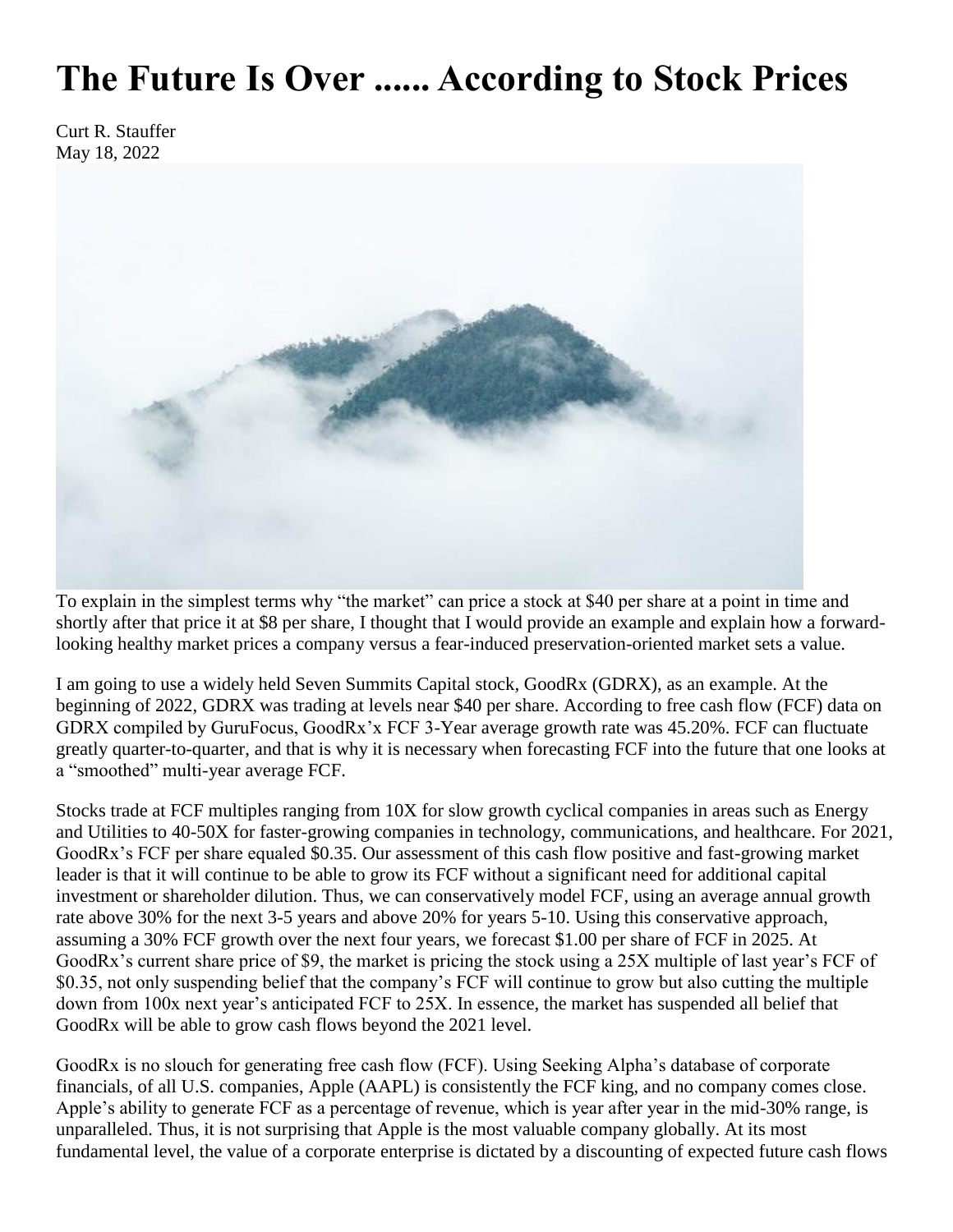## **The Future Is Over ...... According to Stock Prices**

Curt R. Stauffer May 18, 2022



To explain in the simplest terms why "the market" can price a stock at \$40 per share at a point in time and shortly after that price it at \$8 per share, I thought that I would provide an example and explain how a forwardlooking healthy market prices a company versus a fear-induced preservation-oriented market sets a value.

I am going to use a widely held Seven Summits Capital stock, GoodRx (GDRX), as an example. At the beginning of 2022, GDRX was trading at levels near \$40 per share. According to free cash flow (FCF) data on GDRX compiled by GuruFocus, GoodRx'x FCF 3-Year average growth rate was 45.20%. FCF can fluctuate greatly quarter-to-quarter, and that is why it is necessary when forecasting FCF into the future that one looks at a "smoothed" multi-year average FCF.

Stocks trade at FCF multiples ranging from 10X for slow growth cyclical companies in areas such as Energy and Utilities to 40-50X for faster-growing companies in technology, communications, and healthcare. For 2021, GoodRx's FCF per share equaled \$0.35. Our assessment of this cash flow positive and fast-growing market leader is that it will continue to be able to grow its FCF without a significant need for additional capital investment or shareholder dilution. Thus, we can conservatively model FCF, using an average annual growth rate above 30% for the next 3-5 years and above 20% for years 5-10. Using this conservative approach, assuming a 30% FCF growth over the next four years, we forecast \$1.00 per share of FCF in 2025. At GoodRx's current share price of \$9, the market is pricing the stock using a 25X multiple of last year's FCF of \$0.35, not only suspending belief that the company's FCF will continue to grow but also cutting the multiple down from 100x next year's anticipated FCF to 25X. In essence, the market has suspended all belief that GoodRx will be able to grow cash flows beyond the 2021 level.

GoodRx is no slouch for generating free cash flow (FCF). Using Seeking Alpha's database of corporate financials, of all U.S. companies, Apple (AAPL) is consistently the FCF king, and no company comes close. Apple's ability to generate FCF as a percentage of revenue, which is year after year in the mid-30% range, is unparalleled. Thus, it is not surprising that Apple is the most valuable company globally. At its most fundamental level, the value of a corporate enterprise is dictated by a discounting of expected future cash flows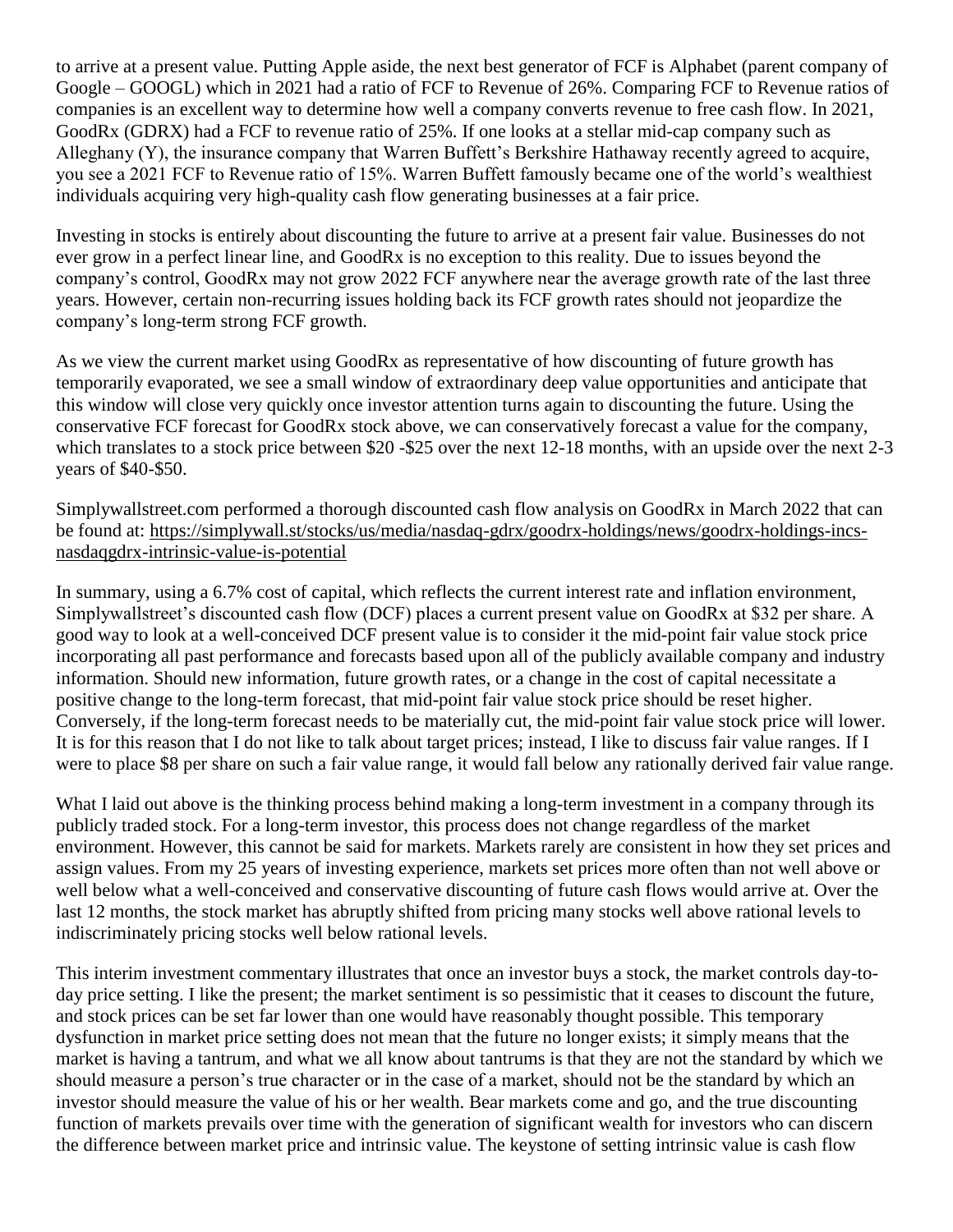to arrive at a present value. Putting Apple aside, the next best generator of FCF is Alphabet (parent company of Google – GOOGL) which in 2021 had a ratio of FCF to Revenue of 26%. Comparing FCF to Revenue ratios of companies is an excellent way to determine how well a company converts revenue to free cash flow. In 2021, GoodRx (GDRX) had a FCF to revenue ratio of 25%. If one looks at a stellar mid-cap company such as Alleghany (Y), the insurance company that Warren Buffett's Berkshire Hathaway recently agreed to acquire, you see a 2021 FCF to Revenue ratio of 15%. Warren Buffett famously became one of the world's wealthiest individuals acquiring very high-quality cash flow generating businesses at a fair price.

Investing in stocks is entirely about discounting the future to arrive at a present fair value. Businesses do not ever grow in a perfect linear line, and GoodRx is no exception to this reality. Due to issues beyond the company's control, GoodRx may not grow 2022 FCF anywhere near the average growth rate of the last three years. However, certain non-recurring issues holding back its FCF growth rates should not jeopardize the company's long-term strong FCF growth.

As we view the current market using GoodRx as representative of how discounting of future growth has temporarily evaporated, we see a small window of extraordinary deep value opportunities and anticipate that this window will close very quickly once investor attention turns again to discounting the future. Using the conservative FCF forecast for GoodRx stock above, we can conservatively forecast a value for the company, which translates to a stock price between \$20 -\$25 over the next 12-18 months, with an upside over the next 2-3 years of \$40-\$50.

Simplywallstreet.com performed a thorough discounted cash flow analysis on GoodRx in March 2022 that can be found at: [https://simplywall.st/stocks/us/media/nasdaq-gdrx/goodrx-holdings/news/goodrx-holdings-incs](https://simplywall.st/stocks/us/media/nasdaq-gdrx/goodrx-holdings/news/goodrx-holdings-incs-nasdaqgdrx-intrinsic-value-is-potential)[nasdaqgdrx-intrinsic-value-is-potential](https://simplywall.st/stocks/us/media/nasdaq-gdrx/goodrx-holdings/news/goodrx-holdings-incs-nasdaqgdrx-intrinsic-value-is-potential)

In summary, using a 6.7% cost of capital, which reflects the current interest rate and inflation environment, Simplywallstreet's discounted cash flow (DCF) places a current present value on GoodRx at \$32 per share. A good way to look at a well-conceived DCF present value is to consider it the mid-point fair value stock price incorporating all past performance and forecasts based upon all of the publicly available company and industry information. Should new information, future growth rates, or a change in the cost of capital necessitate a positive change to the long-term forecast, that mid-point fair value stock price should be reset higher. Conversely, if the long-term forecast needs to be materially cut, the mid-point fair value stock price will lower. It is for this reason that I do not like to talk about target prices; instead, I like to discuss fair value ranges. If I were to place \$8 per share on such a fair value range, it would fall below any rationally derived fair value range.

What I laid out above is the thinking process behind making a long-term investment in a company through its publicly traded stock. For a long-term investor, this process does not change regardless of the market environment. However, this cannot be said for markets. Markets rarely are consistent in how they set prices and assign values. From my 25 years of investing experience, markets set prices more often than not well above or well below what a well-conceived and conservative discounting of future cash flows would arrive at. Over the last 12 months, the stock market has abruptly shifted from pricing many stocks well above rational levels to indiscriminately pricing stocks well below rational levels.

This interim investment commentary illustrates that once an investor buys a stock, the market controls day-today price setting. I like the present; the market sentiment is so pessimistic that it ceases to discount the future, and stock prices can be set far lower than one would have reasonably thought possible. This temporary dysfunction in market price setting does not mean that the future no longer exists; it simply means that the market is having a tantrum, and what we all know about tantrums is that they are not the standard by which we should measure a person's true character or in the case of a market, should not be the standard by which an investor should measure the value of his or her wealth. Bear markets come and go, and the true discounting function of markets prevails over time with the generation of significant wealth for investors who can discern the difference between market price and intrinsic value. The keystone of setting intrinsic value is cash flow